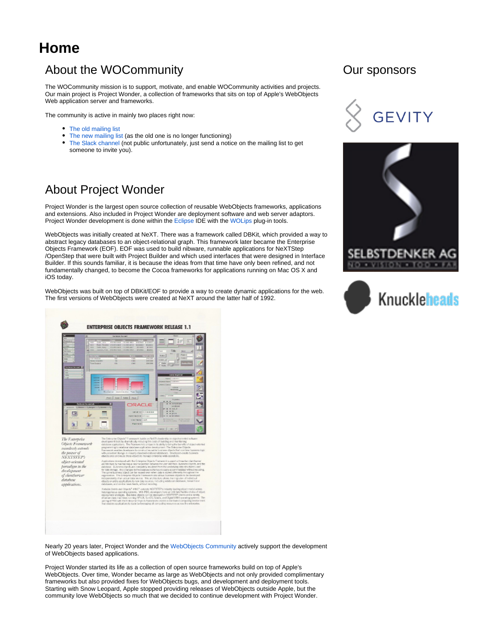# **Home**

## About the WOCommunity

The WOCommunity mission is to support, motivate, and enable WOCommunity activities and projects. Our main project is Project Wonder, a collection of frameworks that sits on top of Apple's WebObjects Web application server and frameworks.

The community is active in mainly two places right now:

- [The old mailing list](https://lists.apple.com/mailman/listinfo/webobjects-dev)
- [The new mailing list](https://lists.wocommunity.org/Lists/webobjects-dev/List.html) (as the old one is no longer functioning)
- [The Slack channel](https://wocommunity.slack.com/) (not public unfortunately, just send a notice on the mailing list to get someone to invite you).

## About Project Wonder

Project Wonder is the largest open source collection of reusable WebObjects frameworks, applications and extensions. Also included in Project Wonder are deployment software and web server adaptors. Project Wonder development is done within the [Eclipse](http://www.eclipse.org/) IDE with the [WOLips](https://wiki.wocommunity.org/display/WOL/Home) plug-in tools.

WebObjects was initially created at NeXT. There was a framework called DBKit, which provided a way to abstract legacy databases to an object-relational graph. This framework later became the Enterprise Objects Framework (EOF). EOF was used to build nibware, runnable applications for NeXTStep /OpenStep that were built with Project Builder and which used interfaces that were designed in Interface Builder. If this sounds familiar, it is because the ideas from that time have only been refined, and not fundamentally changed, to become the Cocoa frameworks for applications running on Mac OS X and iOS today.

WebObjects was built on top of DBKit/EOF to provide a way to create dynamic applications for the web. The first versions of WebObjects were created at NeXT around the latter half of 1992.











Nearly 20 years later, Project Wonder and the [WebObjects Community](http://www.wocommunity.org/) actively support the development of WebObjects based applications.

Project Wonder started its life as a collection of open source frameworks build on top of Apple's WebObjects. Over time, Wonder became as large as WebObjects and not only provided complimentary frameworks but also provided fixes for WebObjects bugs, and development and deployment tools. Starting with Snow Leopard, Apple stopped providing releases of WebObjects outside Apple, but the community love WebObjects so much that we decided to continue development with Project Wonder.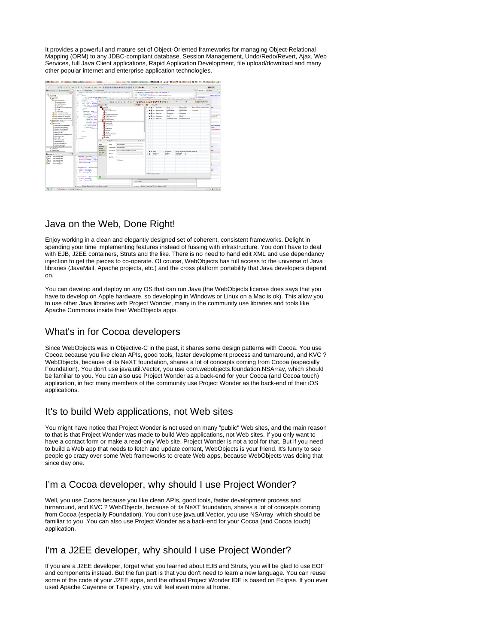It provides a powerful and mature set of Object-Oriented frameworks for managing Object-Relational Mapping (ORM) to any JDBC-compliant database, Session Management, Undo/Redo/Revert, Ajax, Web Services, full Java Client applications, Rapid Application Development, file upload/download and many other popular internet and enterprise application technologies.



#### Java on the Web, Done Right!

Enjoy working in a clean and elegantly designed set of coherent, consistent frameworks. Delight in spending your time implementing features instead of fussing with infrastructure. You don't have to deal with EJB, J2EE containers, Struts and the like. There is no need to hand edit XML and use dependancy injection to get the pieces to co-operate. Of course, WebObjects has full access to the universe of Java libraries (JavaMail, Apache projects, etc.) and the cross platform portability that Java developers depend on.

You can develop and deploy on any OS that can run Java (the WebObjects license does says that you have to develop on Apple hardware, so developing in Windows or Linux on a Mac is ok). This allow you to use other Java libraries with Project Wonder, many in the community use libraries and tools like Apache Commons inside their WebObjects apps.

### What's in for Cocoa developers

Since WebObjects was in Objective-C in the past, it shares some design patterns with Cocoa. You use Cocoa because you like clean APIs, good tools, faster development process and turnaround, and KVC ? WebObjects, because of its NeXT foundation, shares a lot of concepts coming from Cocoa (especially Foundation). You don't use java.util.Vector, you use com.webobjects.foundation.NSArray, which should be familiar to you. You can also use Project Wonder as a back-end for your Cocoa (and Cocoa touch) application, in fact many members of the community use Project Wonder as the back-end of their iOS applications.

#### It's to build Web applications, not Web sites

You might have notice that Project Wonder is not used on many "public" Web sites, and the main reason to that is that Project Wonder was made to build Web applications, not Web sites. If you only want to have a contact form or make a read-only Web site, Project Wonder is not a tool for that. But if you need to build a Web app that needs to fetch and update content, WebObjects is your friend. It's funny to see people go crazy over some Web frameworks to create Web apps, because WebObjects was doing that since day one.

### I'm a Cocoa developer, why should I use Project Wonder?

Well, you use Cocoa because you like clean APIs, good tools, faster development process and turnaround, and KVC ? WebObjects, because of its NeXT foundation, shares a lot of concepts coming from Cocoa (especially Foundation). You don't use java.util.Vector, you use NSArray, which should be familiar to you. You can also use Project Wonder as a back-end for your Cocoa (and Cocoa touch) application.

#### I'm a J2EE developer, why should I use Project Wonder?

If you are a J2EE developer, forget what you learned about EJB and Struts, you will be glad to use EOF and components instead. But the fun part is that you don't need to learn a new language. You can reuse some of the code of your J2EE apps, and the official Project Wonder IDE is based on Eclipse. If you ever used Apache Cayenne or Tapestry, you will feel even more at home.